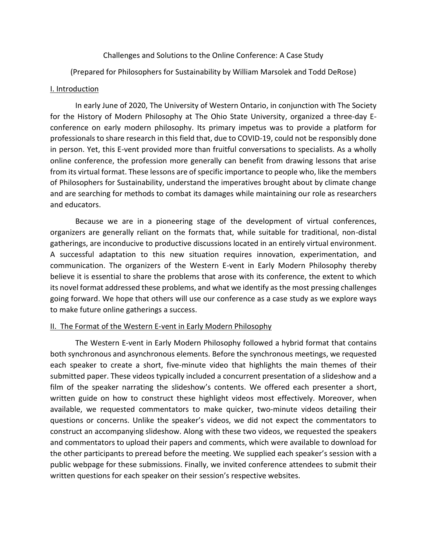# Challenges and Solutions to the Online Conference: A Case Study

(Prepared for Philosophers for Sustainability by William Marsolek and Todd DeRose)

## I. Introduction

In early June of 2020, The University of Western Ontario, in conjunction with The Society for the History of Modern Philosophy at The Ohio State University, organized a three-day Econference on early modern philosophy. Its primary impetus was to provide a platform for professionals to share research in this field that, due to COVID-19, could not be responsibly done in person. Yet, this E-vent provided more than fruitful conversations to specialists. As a wholly online conference, the profession more generally can benefit from drawing lessons that arise from its virtual format. These lessons are of specific importance to people who, like the members of Philosophers for Sustainability, understand the imperatives brought about by climate change and are searching for methods to combat its damages while maintaining our role as researchers and educators.

Because we are in a pioneering stage of the development of virtual conferences, organizers are generally reliant on the formats that, while suitable for traditional, non-distal gatherings, are inconducive to productive discussions located in an entirely virtual environment. A successful adaptation to this new situation requires innovation, experimentation, and communication. The organizers of the Western E-vent in Early Modern Philosophy thereby believe it is essential to share the problems that arose with its conference, the extent to which its novel format addressed these problems, and what we identify as the most pressing challenges going forward. We hope that others will use our conference as a case study as we explore ways to make future online gatherings a success.

## II. The Format of the Western E-vent in Early Modern Philosophy

The Western E-vent in Early Modern Philosophy followed a hybrid format that contains both synchronous and asynchronous elements. Before the synchronous meetings, we requested each speaker to create a short, five-minute video that highlights the main themes of their submitted paper. These videos typically included a concurrent presentation of a slideshow and a film of the speaker narrating the slideshow's contents. We offered each presenter a short, written guide on how to construct these highlight videos most effectively. Moreover, when available, we requested commentators to make quicker, two-minute videos detailing their questions or concerns. Unlike the speaker's videos, we did not expect the commentators to construct an accompanying slideshow. Along with these two videos, we requested the speakers and commentators to upload their papers and comments, which were available to download for the other participants to preread before the meeting. We supplied each speaker's session with a public webpage for these submissions. Finally, we invited conference attendees to submit their written questions for each speaker on their session's respective websites.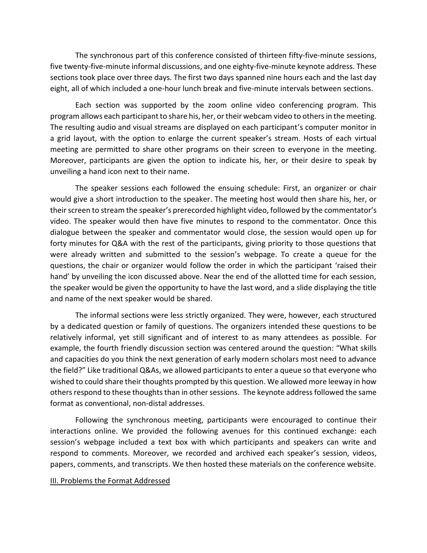The synchronous part of this conference consisted of thirteen fifty-five-minute sessions, five twenty-five-minute informal discussions, and one eighty-five-minute keynote address. These sections took place over three days. The first two days spanned nine hours each and the last day eight, all of which included a one-hour lunch break and five-minute intervals between sections.

Each section was supported by the zoom online video conferencing program. This program allows each participant to share his, her, or their webcam video to others in the meeting. The resulting audio and visual streams are displayed on each participant's computer monitor in a grid layout, with the option to enlarge the current speaker's stream. Hosts of each virtual meeting are permitted to share other programs on their screen to everyone in the meeting. Moreover, participants are given the option to indicate his, her, or their desire to speak by unveiling a hand icon next to their name.

The speaker sessions each followed the ensuing schedule: First, an organizer or chair would give a short introduction to the speaker. The meeting host would then share his, her, or their screen to stream the speaker's prerecorded highlight video, followed by the commentator's video. The speaker would then have five minutes to respond to the commentator. Once this dialogue between the speaker and commentator would close, the session would open up for forty minutes for Q&A with the rest of the participants, giving priority to those questions that were already written and submitted to the session's webpage. To create a queue for the questions, the chair or organizer would follow the order in which the participant 'raised their hand' by unveiling the icon discussed above. Near the end of the allotted time for each session, the speaker would be given the opportunity to have the last word, and a slide displaying the title and name of the next speaker would be shared.

The informal sections were less strictly organized. They were, however, each structured by a dedicated question or family of questions. The organizers intended these questions to be relatively informal, yet still significant and of interest to as many attendees as possible. For example, the fourth friendly discussion section was centered around the question: "What skills and capacities do you think the next generation of early modern scholars most need to advance the field?" Like traditional Q&As, we allowed participants to enter a queue so that everyone who wished to could share their thoughts prompted by this question. We allowed more leeway in how others respond to these thoughts than in other sessions. The keynote addressfollowed the same format as conventional, non-distal addresses.

Following the synchronous meeting, participants were encouraged to continue their interactions online. We provided the following avenues for this continued exchange: each session's webpage included a text box with which participants and speakers can write and respond to comments. Moreover, we recorded and archived each speaker's session, videos, papers, comments, and transcripts. We then hosted these materials on the conference website.

#### III. Problems the Format Addressed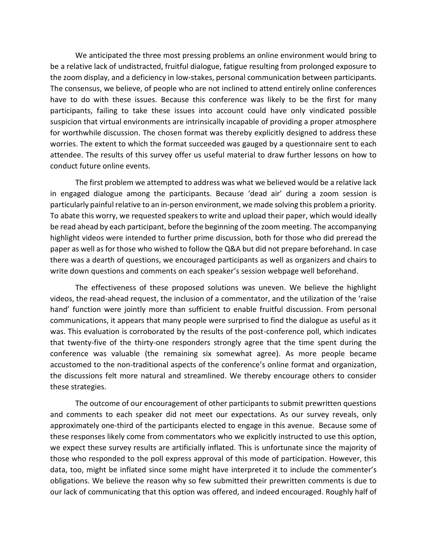We anticipated the three most pressing problems an online environment would bring to be a relative lack of undistracted, fruitful dialogue, fatigue resulting from prolonged exposure to the zoom display, and a deficiency in low-stakes, personal communication between participants. The consensus, we believe, of people who are not inclined to attend entirely online conferences have to do with these issues. Because this conference was likely to be the first for many participants, failing to take these issues into account could have only vindicated possible suspicion that virtual environments are intrinsically incapable of providing a proper atmosphere for worthwhile discussion. The chosen format was thereby explicitly designed to address these worries. The extent to which the format succeeded was gauged by a questionnaire sent to each attendee. The results of this survey offer us useful material to draw further lessons on how to conduct future online events.

The first problem we attempted to address was what we believed would be a relative lack in engaged dialogue among the participants. Because 'dead air' during a zoom session is particularly painful relative to an in-person environment, we made solving this problem a priority. To abate this worry, we requested speakers to write and upload their paper, which would ideally be read ahead by each participant, before the beginning of the zoom meeting. The accompanying highlight videos were intended to further prime discussion, both for those who did preread the paper as well as for those who wished to follow the Q&A but did not prepare beforehand. In case there was a dearth of questions, we encouraged participants as well as organizers and chairs to write down questions and comments on each speaker's session webpage well beforehand.

The effectiveness of these proposed solutions was uneven. We believe the highlight videos, the read-ahead request, the inclusion of a commentator, and the utilization of the 'raise hand' function were jointly more than sufficient to enable fruitful discussion. From personal communications, it appears that many people were surprised to find the dialogue as useful as it was. This evaluation is corroborated by the results of the post-conference poll, which indicates that twenty-five of the thirty-one responders strongly agree that the time spent during the conference was valuable (the remaining six somewhat agree). As more people became accustomed to the non-traditional aspects of the conference's online format and organization, the discussions felt more natural and streamlined. We thereby encourage others to consider these strategies.

The outcome of our encouragement of other participants to submit prewritten questions and comments to each speaker did not meet our expectations. As our survey reveals, only approximately one-third of the participants elected to engage in this avenue. Because some of these responses likely come from commentators who we explicitly instructed to use this option, we expect these survey results are artificially inflated. This is unfortunate since the majority of those who responded to the poll express approval of this mode of participation. However, this data, too, might be inflated since some might have interpreted it to include the commenter's obligations. We believe the reason why so few submitted their prewritten comments is due to our lack of communicating that this option was offered, and indeed encouraged. Roughly half of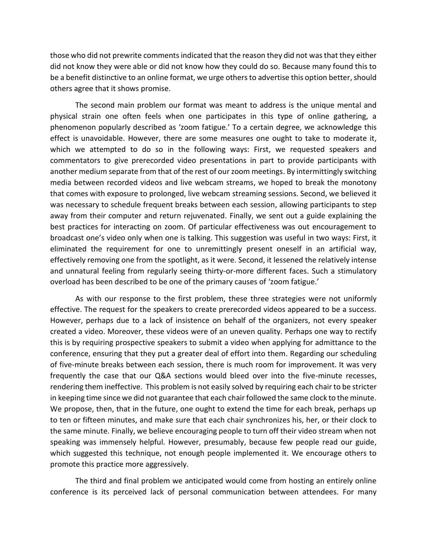those who did not prewrite comments indicated that the reason they did not was that they either did not know they were able or did not know how they could do so. Because many found this to be a benefit distinctive to an online format, we urge others to advertise this option better, should others agree that it shows promise.

The second main problem our format was meant to address is the unique mental and physical strain one often feels when one participates in this type of online gathering, a phenomenon popularly described as 'zoom fatigue.' To a certain degree, we acknowledge this effect is unavoidable. However, there are some measures one ought to take to moderate it, which we attempted to do so in the following ways: First, we requested speakers and commentators to give prerecorded video presentations in part to provide participants with another medium separate from that of the rest of our zoom meetings. By intermittingly switching media between recorded videos and live webcam streams, we hoped to break the monotony that comes with exposure to prolonged, live webcam streaming sessions. Second, we believed it was necessary to schedule frequent breaks between each session, allowing participants to step away from their computer and return rejuvenated. Finally, we sent out a guide explaining the best practices for interacting on zoom. Of particular effectiveness was out encouragement to broadcast one's video only when one is talking. This suggestion was useful in two ways: First, it eliminated the requirement for one to unremittingly present oneself in an artificial way, effectively removing one from the spotlight, as it were. Second, it lessened the relatively intense and unnatural feeling from regularly seeing thirty-or-more different faces. Such a stimulatory overload has been described to be one of the primary causes of 'zoom fatigue.'

As with our response to the first problem, these three strategies were not uniformly effective. The request for the speakers to create prerecorded videos appeared to be a success. However, perhaps due to a lack of insistence on behalf of the organizers, not every speaker created a video. Moreover, these videos were of an uneven quality. Perhaps one way to rectify this is by requiring prospective speakers to submit a video when applying for admittance to the conference, ensuring that they put a greater deal of effort into them. Regarding our scheduling of five-minute breaks between each session, there is much room for improvement. It was very frequently the case that our Q&A sections would bleed over into the five-minute recesses, rendering them ineffective. This problem is not easily solved by requiring each chair to be stricter in keeping time since we did not guarantee that each chair followed the same clock to the minute. We propose, then, that in the future, one ought to extend the time for each break, perhaps up to ten or fifteen minutes, and make sure that each chair synchronizes his, her, or their clock to the same minute. Finally, we believe encouraging people to turn off their video stream when not speaking was immensely helpful. However, presumably, because few people read our guide, which suggested this technique, not enough people implemented it. We encourage others to promote this practice more aggressively.

The third and final problem we anticipated would come from hosting an entirely online conference is its perceived lack of personal communication between attendees. For many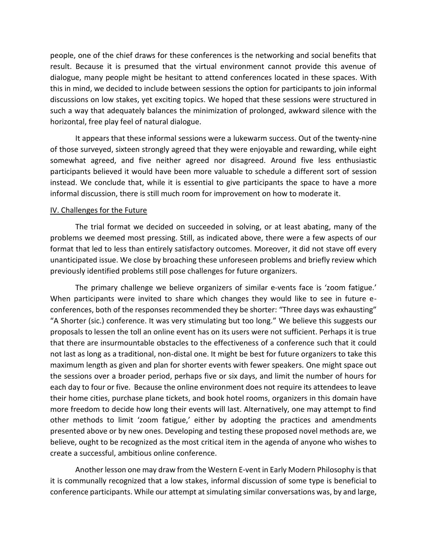people, one of the chief draws for these conferences is the networking and social benefits that result. Because it is presumed that the virtual environment cannot provide this avenue of dialogue, many people might be hesitant to attend conferences located in these spaces. With this in mind, we decided to include between sessions the option for participants to join informal discussions on low stakes, yet exciting topics. We hoped that these sessions were structured in such a way that adequately balances the minimization of prolonged, awkward silence with the horizontal, free play feel of natural dialogue.

It appears that these informal sessions were a lukewarm success. Out of the twenty-nine of those surveyed, sixteen strongly agreed that they were enjoyable and rewarding, while eight somewhat agreed, and five neither agreed nor disagreed. Around five less enthusiastic participants believed it would have been more valuable to schedule a different sort of session instead. We conclude that, while it is essential to give participants the space to have a more informal discussion, there is still much room for improvement on how to moderate it.

### IV. Challenges for the Future

The trial format we decided on succeeded in solving, or at least abating, many of the problems we deemed most pressing. Still, as indicated above, there were a few aspects of our format that led to less than entirely satisfactory outcomes. Moreover, it did not stave off every unanticipated issue. We close by broaching these unforeseen problems and briefly review which previously identified problems still pose challenges for future organizers.

The primary challenge we believe organizers of similar e-vents face is 'zoom fatigue.' When participants were invited to share which changes they would like to see in future econferences, both of the responses recommended they be shorter: "Three days was exhausting" "A Shorter (sic.) conference. It was very stimulating but too long." We believe this suggests our proposals to lessen the toll an online event has on its users were not sufficient. Perhaps it is true that there are insurmountable obstacles to the effectiveness of a conference such that it could not last as long as a traditional, non-distal one. It might be best for future organizers to take this maximum length as given and plan for shorter events with fewer speakers. One might space out the sessions over a broader period, perhaps five or six days, and limit the number of hours for each day to four or five. Because the online environment does not require its attendees to leave their home cities, purchase plane tickets, and book hotel rooms, organizers in this domain have more freedom to decide how long their events will last. Alternatively, one may attempt to find other methods to limit 'zoom fatigue,' either by adopting the practices and amendments presented above or by new ones. Developing and testing these proposed novel methods are, we believe, ought to be recognized as the most critical item in the agenda of anyone who wishes to create a successful, ambitious online conference.

Another lesson one may draw from the Western E-vent in Early Modern Philosophy is that it is communally recognized that a low stakes, informal discussion of some type is beneficial to conference participants. While our attempt at simulating similar conversations was, by and large,